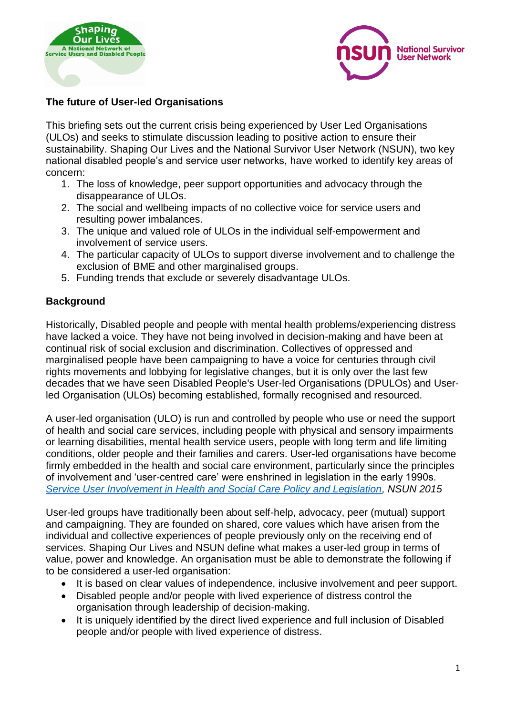



### **The future of User-led Organisations**

This briefing sets out the current crisis being experienced by User Led Organisations (ULOs) and seeks to stimulate discussion leading to positive action to ensure their sustainability. Shaping Our Lives and the National Survivor User Network (NSUN), two key national disabled people's and service user networks, have worked to identify key areas of concern:

- 1. The loss of knowledge, peer support opportunities and advocacy through the disappearance of ULOs.
- 2. The social and wellbeing impacts of no collective voice for service users and resulting power imbalances.
- 3. The unique and valued role of ULOs in the individual self-empowerment and involvement of service users.
- 4. The particular capacity of ULOs to support diverse involvement and to challenge the exclusion of BME and other marginalised groups.
- 5. Funding trends that exclude or severely disadvantage ULOs.

#### **Background**

Historically, Disabled people and people with mental health problems/experiencing distress have lacked a voice. They have not being involved in decision-making and have been at continual risk of social exclusion and discrimination. Collectives of oppressed and marginalised people have been campaigning to have a voice for centuries through civil rights movements and lobbying for legislative changes, but it is only over the last few decades that we have seen Disabled People's User-led Organisations (DPULOs) and Userled Organisation (ULOs) becoming established, formally recognised and resourced.

A user-led organisation (ULO) is run and controlled by people who use or need the support of health and social care services, including people with physical and sensory impairments or learning disabilities, mental health service users, people with long term and life limiting conditions, older people and their families and carers. User-led organisations have become firmly embedded in the health and social care environment, particularly since the principles of involvement and 'user-centred care' were enshrined in legislation in the early 1990s. *[Service User Involvement in Health and Social Care Policy and Legislation,](https://www.nsun.org.uk/Handlers/Download.ashx?IDMF=c011970a-d3d7-4490-b383-25fe1a6a3bb4) NSUN 2015* 

User-led groups have traditionally been about self-help, advocacy, peer (mutual) support and campaigning. They are founded on shared, core values which have arisen from the individual and collective experiences of people previously only on the receiving end of services. Shaping Our Lives and NSUN define what makes a user-led group in terms of value, power and knowledge. An organisation must be able to demonstrate the following if to be considered a user-led organisation:

- It is based on clear values of independence, inclusive involvement and peer support.
- Disabled people and/or people with lived experience of distress control the organisation through leadership of decision-making.
- It is uniquely identified by the direct lived experience and full inclusion of Disabled people and/or people with lived experience of distress.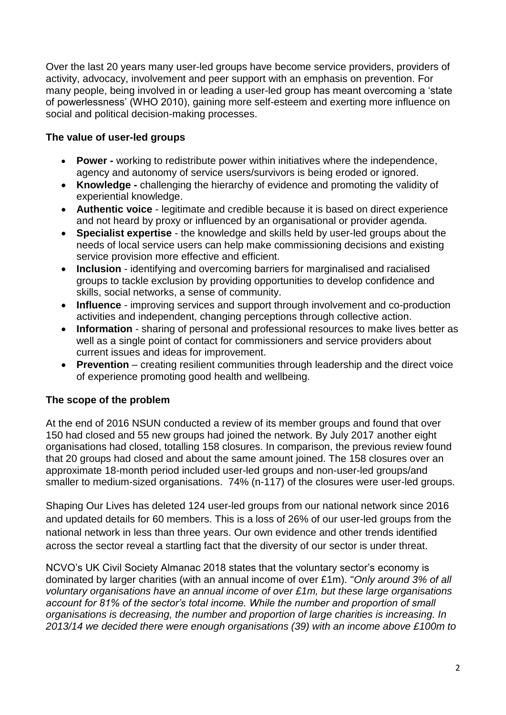Over the last 20 years many user-led groups have become service providers, providers of activity, advocacy, involvement and peer support with an emphasis on prevention. For many people, being involved in or leading a user-led group has meant overcoming a 'state of powerlessness' (WHO 2010), gaining more self-esteem and exerting more influence on social and political decision-making processes.

### **The value of user-led groups**

- **Power -** working to redistribute power within initiatives where the independence, agency and autonomy of service users/survivors is being eroded or ignored.
- **Knowledge -** challenging the hierarchy of evidence and promoting the validity of experiential knowledge.
- **Authentic voice** legitimate and credible because it is based on direct experience and not heard by proxy or influenced by an organisational or provider agenda.
- **Specialist expertise**  the knowledge and skills held by user-led groups about the needs of local service users can help make commissioning decisions and existing service provision more effective and efficient.
- **Inclusion** identifying and overcoming barriers for marginalised and racialised groups to tackle exclusion by providing opportunities to develop confidence and skills, social networks, a sense of community.
- **Influence** improving services and support through involvement and co-production activities and independent, changing perceptions through collective action.
- **Information** sharing of personal and professional resources to make lives better as well as a single point of contact for commissioners and service providers about current issues and ideas for improvement.
- **Prevention** creating resilient communities through leadership and the direct voice of experience promoting good health and wellbeing.

#### **The scope of the problem**

At the end of 2016 NSUN conducted a review of its member groups and found that over 150 had closed and 55 new groups had joined the network. By July 2017 another eight organisations had closed, totalling 158 closures. In comparison, the previous review found that 20 groups had closed and about the same amount joined. The 158 closures over an approximate 18-month period included user-led groups and non-user-led groups/and smaller to medium-sized organisations. 74% (n-117) of the closures were user-led groups.

Shaping Our Lives has deleted 124 user-led groups from our national network since 2016 and updated details for 60 members. This is a loss of 26% of our user-led groups from the national network in less than three years. Our own evidence and other trends identified across the sector reveal a startling fact that the diversity of our sector is under threat.

NCVO's UK Civil Society Almanac 2018 states that the voluntary sector's economy is dominated by larger charities (with an annual income of over £1m). "*Only around 3% of all voluntary organisations have an annual income of over £1m, but these large organisations account for 81% of the sector's total income. While the number and proportion of small organisations is decreasing, the number and proportion of large charities is increasing. In 2013/14 we decided there were enough organisations (39) with an income above £100m to*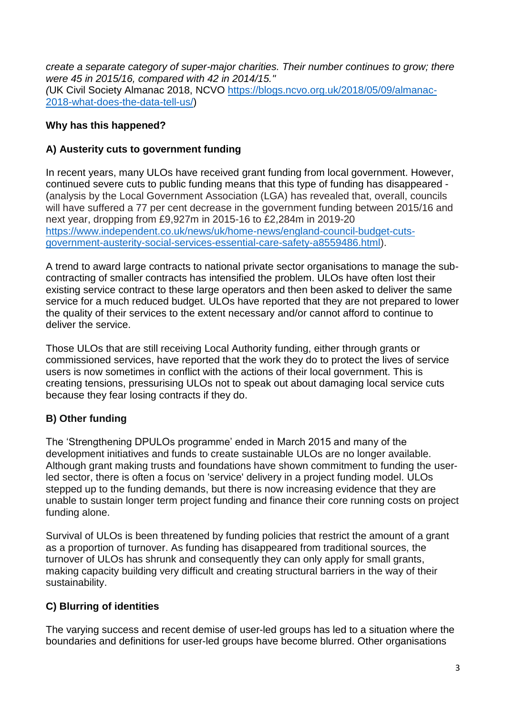*create a separate category of super-major charities. Their number continues to grow; there were 45 in 2015/16, compared with 42 in 2014/15." (*UK Civil Society Almanac 2018, NCVO [https://blogs.ncvo.org.uk/2018/05/09/almanac-](https://blogs.ncvo.org.uk/2018/05/09/almanac-2018-what-does-the-data-tell-us/)[2018-what-does-the-data-tell-us/\)](https://blogs.ncvo.org.uk/2018/05/09/almanac-2018-what-does-the-data-tell-us/)

## **Why has this happened?**

### **A) Austerity cuts to government funding**

In recent years, many ULOs have received grant funding from local government. However, continued severe cuts to public funding means that this type of funding has disappeared - (analysis by the Local Government Association (LGA) has revealed that, overall, councils will have suffered a 77 per cent decrease in the government funding between 2015/16 and next year, dropping from £9,927m in 2015-16 to £2,284m in 2019-20 [https://www.independent.co.uk/news/uk/home-news/england-council-budget-cuts](https://www.independent.co.uk/news/uk/home-news/england-council-budget-cuts-government-austerity-social-services-essential-care-safety-a8559486.html)[government-austerity-social-services-essential-care-safety-a8559486.html\)](https://www.independent.co.uk/news/uk/home-news/england-council-budget-cuts-government-austerity-social-services-essential-care-safety-a8559486.html).

A trend to award large contracts to national private sector organisations to manage the subcontracting of smaller contracts has intensified the problem. ULOs have often lost their existing service contract to these large operators and then been asked to deliver the same service for a much reduced budget. ULOs have reported that they are not prepared to lower the quality of their services to the extent necessary and/or cannot afford to continue to deliver the service.

Those ULOs that are still receiving Local Authority funding, either through grants or commissioned services, have reported that the work they do to protect the lives of service users is now sometimes in conflict with the actions of their local government. This is creating tensions, pressurising ULOs not to speak out about damaging local service cuts because they fear losing contracts if they do.

# **B) Other funding**

The 'Strengthening DPULOs programme' ended in March 2015 and many of the development initiatives and funds to create sustainable ULOs are no longer available. Although grant making trusts and foundations have shown commitment to funding the userled sector, there is often a focus on 'service' delivery in a project funding model. ULOs stepped up to the funding demands, but there is now increasing evidence that they are unable to sustain longer term project funding and finance their core running costs on project funding alone.

Survival of ULOs is been threatened by funding policies that restrict the amount of a grant as a proportion of turnover. As funding has disappeared from traditional sources, the turnover of ULOs has shrunk and consequently they can only apply for small grants, making capacity building very difficult and creating structural barriers in the way of their sustainability.

# **C) Blurring of identities**

The varying success and recent demise of user-led groups has led to a situation where the boundaries and definitions for user-led groups have become blurred. Other organisations